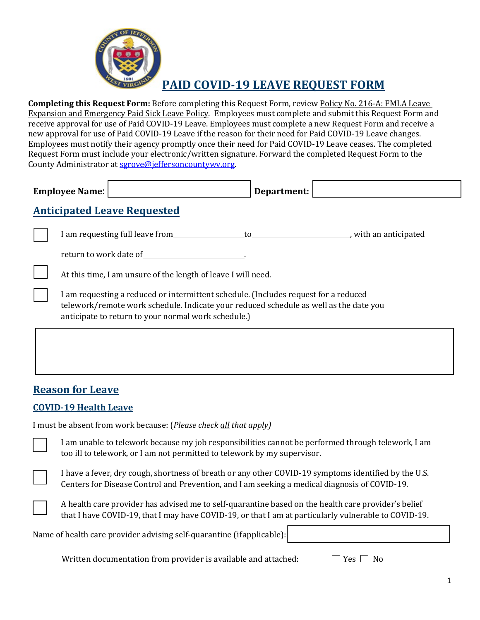

# **PAID COVID-19 LEAVE REQUEST FORM**

**Completing this Request Form:** Before completing this Request Form, review Policy No. 216-A: FMLA Leave Expansion and Emergency Paid Sick Leave Policy. Employees must complete and submit this Request Form and receive approval for use of Paid COVID-19 Leave. Employees must complete a new Request Form and receive a new approval for use of Paid COVID-19 Leave if the reason for their need for Paid COVID-19 Leave changes. Employees must notify their agency promptly once their need for Paid COVID-19 Leave ceases. The completed Request Form must include your electronic/written signature. Forward the completed Request Form to the County Administrator a[t sgrove@jeffersoncountywv.org.](mailto:sgrove@jeffersoncountywv.org)

| <b>Employee Name:</b> | Department: |  |
|-----------------------|-------------|--|
|                       |             |  |

## **Anticipated Leave Requested**

| I am requesting full leave from | with an anticipated |
|---------------------------------|---------------------|
| return to work date of          |                     |

At this time, I am unsure of the length of leave I will need.

I am requesting a reduced or intermittent schedule. (Includes request for a reduced telework/remote work schedule. Indicate your reduced schedule as well as the date you anticipate to return to your normal work schedule.)

### **Reason for Leave**

#### **COVID-19 Health Leave**

I must be absent from work because: (*Please check all that apply)*

I am unable to telework because my job responsibilities cannot be performed through telework, I am too ill to telework, or I am not permitted to telework by my supervisor.



| A health care provider has advised me to self-quarantine based on the health care provider's belief  |  |
|------------------------------------------------------------------------------------------------------|--|
| that I have COVID-19, that I may have COVID-19, or that I am at particularly vulnerable to COVID-19. |  |

Name of health care provider advising self-quarantine (ifapplicable):

Written documentation from provider is available and attached:  $\Box$  Yes  $\Box$  No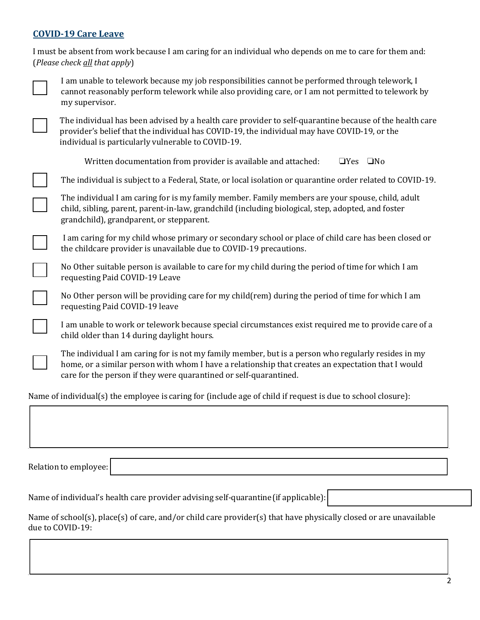#### **COVID-19 Care Leave**

|                                                                                                              | I must be absent from work because I am caring for an individual who depends on me to care for them and:<br>(Please check all that apply)                                                                                                                                      |  |
|--------------------------------------------------------------------------------------------------------------|--------------------------------------------------------------------------------------------------------------------------------------------------------------------------------------------------------------------------------------------------------------------------------|--|
|                                                                                                              | I am unable to telework because my job responsibilities cannot be performed through telework, I<br>cannot reasonably perform telework while also providing care, or I am not permitted to telework by<br>my supervisor.                                                        |  |
|                                                                                                              | The individual has been advised by a health care provider to self-quarantine because of the health care<br>provider's belief that the individual has COVID-19, the individual may have COVID-19, or the<br>individual is particularly vulnerable to COVID-19.                  |  |
|                                                                                                              | Written documentation from provider is available and attached:<br>$\square$ No<br>$\Box$ Yes                                                                                                                                                                                   |  |
|                                                                                                              | The individual is subject to a Federal, State, or local isolation or quarantine order related to COVID-19.                                                                                                                                                                     |  |
|                                                                                                              | The individual I am caring for is my family member. Family members are your spouse, child, adult<br>child, sibling, parent, parent-in-law, grandchild (including biological, step, adopted, and foster<br>grandchild), grandparent, or stepparent.                             |  |
|                                                                                                              | I am caring for my child whose primary or secondary school or place of child care has been closed or<br>the childcare provider is unavailable due to COVID-19 precautions.                                                                                                     |  |
|                                                                                                              | No Other suitable person is available to care for my child during the period of time for which I am<br>requesting Paid COVID-19 Leave                                                                                                                                          |  |
|                                                                                                              | No Other person will be providing care for my child (rem) during the period of time for which I am<br>requesting Paid COVID-19 leave                                                                                                                                           |  |
|                                                                                                              | I am unable to work or telework because special circumstances exist required me to provide care of a<br>child older than 14 during daylight hours.                                                                                                                             |  |
|                                                                                                              | The individual I am caring for is not my family member, but is a person who regularly resides in my<br>home, or a similar person with whom I have a relationship that creates an expectation that I would<br>care for the person if they were quarantined or self-quarantined. |  |
| Name of individual(s) the employee is caring for (include age of child if request is due to school closure): |                                                                                                                                                                                                                                                                                |  |
|                                                                                                              |                                                                                                                                                                                                                                                                                |  |

Relation to employee:

Name of individual's health care provider advising self-quarantine(if applicable):

Name of school(s), place(s) of care, and/or child care provider(s) that have physically closed or are unavailable due to COVID-19: